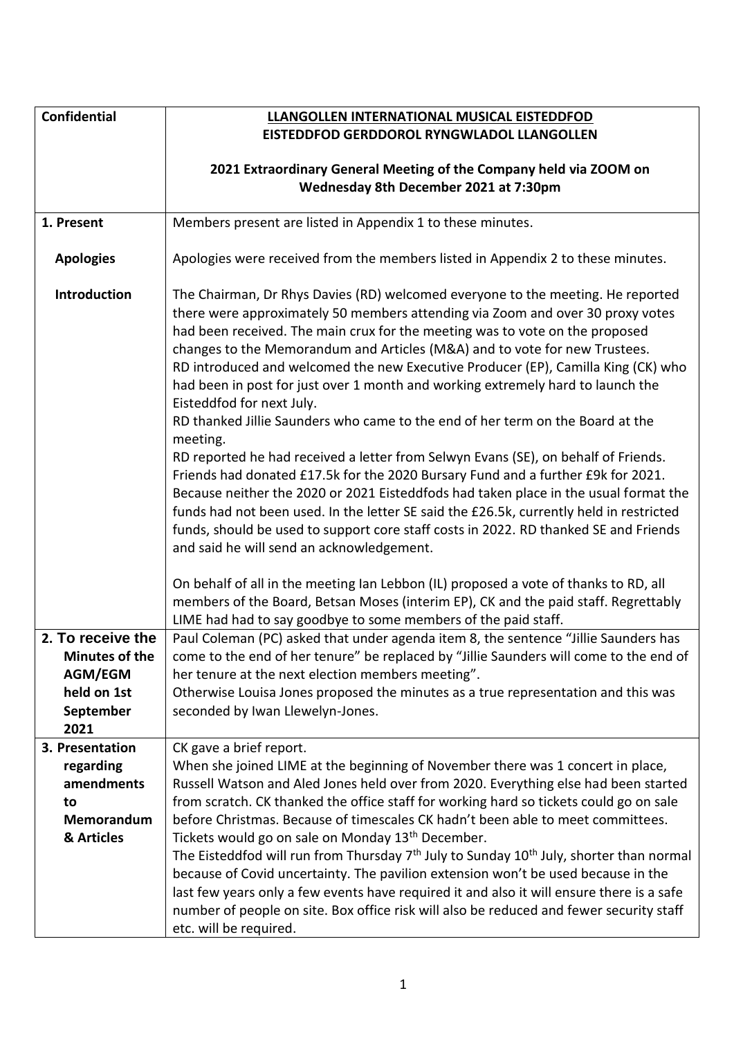| <b>Confidential</b>   | LLANGOLLEN INTERNATIONAL MUSICAL EISTEDDFOD                                                                                                                                                                                                                                                                                                                                                                                                                                                                                                                                                                                                                                                                                                                                                                                                                                                                                                                                                                                                                                                                                          |
|-----------------------|--------------------------------------------------------------------------------------------------------------------------------------------------------------------------------------------------------------------------------------------------------------------------------------------------------------------------------------------------------------------------------------------------------------------------------------------------------------------------------------------------------------------------------------------------------------------------------------------------------------------------------------------------------------------------------------------------------------------------------------------------------------------------------------------------------------------------------------------------------------------------------------------------------------------------------------------------------------------------------------------------------------------------------------------------------------------------------------------------------------------------------------|
|                       | EISTEDDFOD GERDDOROL RYNGWLADOL LLANGOLLEN                                                                                                                                                                                                                                                                                                                                                                                                                                                                                                                                                                                                                                                                                                                                                                                                                                                                                                                                                                                                                                                                                           |
|                       |                                                                                                                                                                                                                                                                                                                                                                                                                                                                                                                                                                                                                                                                                                                                                                                                                                                                                                                                                                                                                                                                                                                                      |
|                       | 2021 Extraordinary General Meeting of the Company held via ZOOM on                                                                                                                                                                                                                                                                                                                                                                                                                                                                                                                                                                                                                                                                                                                                                                                                                                                                                                                                                                                                                                                                   |
|                       | Wednesday 8th December 2021 at 7:30pm                                                                                                                                                                                                                                                                                                                                                                                                                                                                                                                                                                                                                                                                                                                                                                                                                                                                                                                                                                                                                                                                                                |
| 1. Present            | Members present are listed in Appendix 1 to these minutes.                                                                                                                                                                                                                                                                                                                                                                                                                                                                                                                                                                                                                                                                                                                                                                                                                                                                                                                                                                                                                                                                           |
|                       |                                                                                                                                                                                                                                                                                                                                                                                                                                                                                                                                                                                                                                                                                                                                                                                                                                                                                                                                                                                                                                                                                                                                      |
| <b>Apologies</b>      | Apologies were received from the members listed in Appendix 2 to these minutes.                                                                                                                                                                                                                                                                                                                                                                                                                                                                                                                                                                                                                                                                                                                                                                                                                                                                                                                                                                                                                                                      |
| Introduction          | The Chairman, Dr Rhys Davies (RD) welcomed everyone to the meeting. He reported<br>there were approximately 50 members attending via Zoom and over 30 proxy votes<br>had been received. The main crux for the meeting was to vote on the proposed<br>changes to the Memorandum and Articles (M&A) and to vote for new Trustees.<br>RD introduced and welcomed the new Executive Producer (EP), Camilla King (CK) who<br>had been in post for just over 1 month and working extremely hard to launch the<br>Eisteddfod for next July.<br>RD thanked Jillie Saunders who came to the end of her term on the Board at the<br>meeting.<br>RD reported he had received a letter from Selwyn Evans (SE), on behalf of Friends.<br>Friends had donated £17.5k for the 2020 Bursary Fund and a further £9k for 2021.<br>Because neither the 2020 or 2021 Eisteddfods had taken place in the usual format the<br>funds had not been used. In the letter SE said the £26.5k, currently held in restricted<br>funds, should be used to support core staff costs in 2022. RD thanked SE and Friends<br>and said he will send an acknowledgement. |
|                       | On behalf of all in the meeting Ian Lebbon (IL) proposed a vote of thanks to RD, all<br>members of the Board, Betsan Moses (interim EP), CK and the paid staff. Regrettably<br>LIME had had to say goodbye to some members of the paid staff.                                                                                                                                                                                                                                                                                                                                                                                                                                                                                                                                                                                                                                                                                                                                                                                                                                                                                        |
| 2. To receive the     | Paul Coleman (PC) asked that under agenda item 8, the sentence "Jillie Saunders has                                                                                                                                                                                                                                                                                                                                                                                                                                                                                                                                                                                                                                                                                                                                                                                                                                                                                                                                                                                                                                                  |
| <b>Minutes of the</b> | come to the end of her tenure" be replaced by "Jillie Saunders will come to the end of                                                                                                                                                                                                                                                                                                                                                                                                                                                                                                                                                                                                                                                                                                                                                                                                                                                                                                                                                                                                                                               |
| AGM/EGM               | her tenure at the next election members meeting".                                                                                                                                                                                                                                                                                                                                                                                                                                                                                                                                                                                                                                                                                                                                                                                                                                                                                                                                                                                                                                                                                    |
| held on 1st           | Otherwise Louisa Jones proposed the minutes as a true representation and this was                                                                                                                                                                                                                                                                                                                                                                                                                                                                                                                                                                                                                                                                                                                                                                                                                                                                                                                                                                                                                                                    |
| September             | seconded by Iwan Llewelyn-Jones.                                                                                                                                                                                                                                                                                                                                                                                                                                                                                                                                                                                                                                                                                                                                                                                                                                                                                                                                                                                                                                                                                                     |
| 2021                  |                                                                                                                                                                                                                                                                                                                                                                                                                                                                                                                                                                                                                                                                                                                                                                                                                                                                                                                                                                                                                                                                                                                                      |
| 3. Presentation       | CK gave a brief report.                                                                                                                                                                                                                                                                                                                                                                                                                                                                                                                                                                                                                                                                                                                                                                                                                                                                                                                                                                                                                                                                                                              |
| regarding             | When she joined LIME at the beginning of November there was 1 concert in place,                                                                                                                                                                                                                                                                                                                                                                                                                                                                                                                                                                                                                                                                                                                                                                                                                                                                                                                                                                                                                                                      |
| amendments            | Russell Watson and Aled Jones held over from 2020. Everything else had been started                                                                                                                                                                                                                                                                                                                                                                                                                                                                                                                                                                                                                                                                                                                                                                                                                                                                                                                                                                                                                                                  |
| to                    | from scratch. CK thanked the office staff for working hard so tickets could go on sale                                                                                                                                                                                                                                                                                                                                                                                                                                                                                                                                                                                                                                                                                                                                                                                                                                                                                                                                                                                                                                               |
| Memorandum            | before Christmas. Because of timescales CK hadn't been able to meet committees.                                                                                                                                                                                                                                                                                                                                                                                                                                                                                                                                                                                                                                                                                                                                                                                                                                                                                                                                                                                                                                                      |
| & Articles            | Tickets would go on sale on Monday 13 <sup>th</sup> December.                                                                                                                                                                                                                                                                                                                                                                                                                                                                                                                                                                                                                                                                                                                                                                                                                                                                                                                                                                                                                                                                        |
|                       | The Eisteddfod will run from Thursday 7 <sup>th</sup> July to Sunday 10 <sup>th</sup> July, shorter than normal                                                                                                                                                                                                                                                                                                                                                                                                                                                                                                                                                                                                                                                                                                                                                                                                                                                                                                                                                                                                                      |
|                       | because of Covid uncertainty. The pavilion extension won't be used because in the                                                                                                                                                                                                                                                                                                                                                                                                                                                                                                                                                                                                                                                                                                                                                                                                                                                                                                                                                                                                                                                    |
|                       | last few years only a few events have required it and also it will ensure there is a safe                                                                                                                                                                                                                                                                                                                                                                                                                                                                                                                                                                                                                                                                                                                                                                                                                                                                                                                                                                                                                                            |
|                       | number of people on site. Box office risk will also be reduced and fewer security staff                                                                                                                                                                                                                                                                                                                                                                                                                                                                                                                                                                                                                                                                                                                                                                                                                                                                                                                                                                                                                                              |
|                       | etc. will be required.                                                                                                                                                                                                                                                                                                                                                                                                                                                                                                                                                                                                                                                                                                                                                                                                                                                                                                                                                                                                                                                                                                               |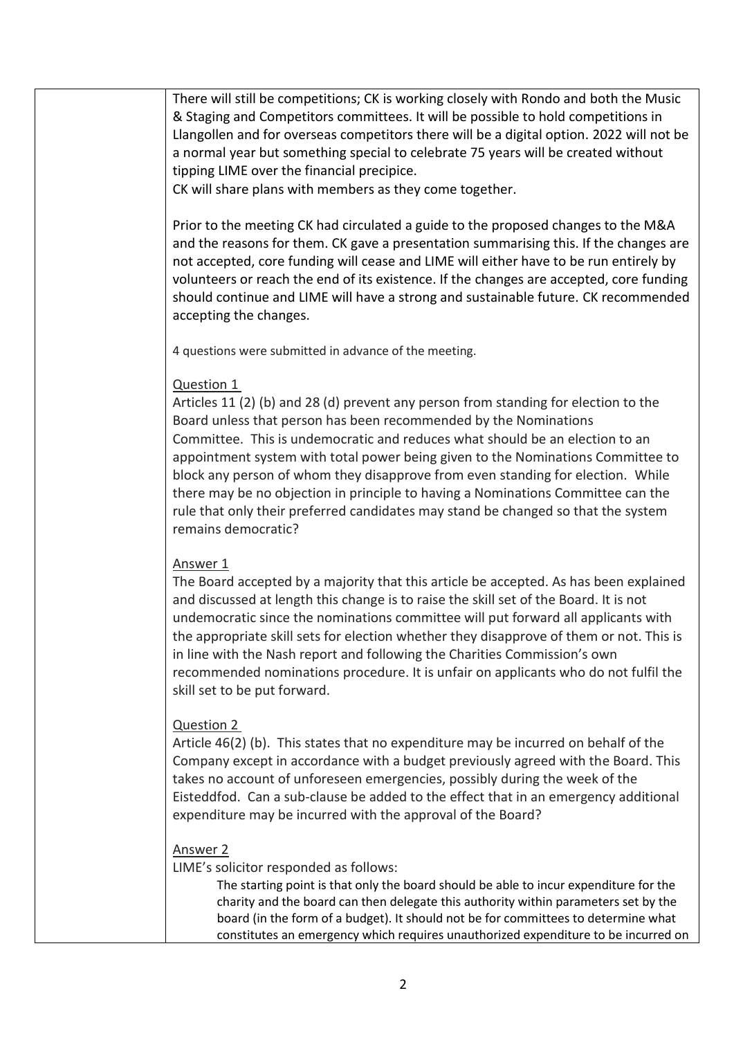There will still be competitions; CK is working closely with Rondo and both the Music & Staging and Competitors committees. It will be possible to hold competitions in Llangollen and for overseas competitors there will be a digital option. 2022 will not be a normal year but something special to celebrate 75 years will be created without tipping LIME over the financial precipice.

CK will share plans with members as they come together.

Prior to the meeting CK had circulated a guide to the proposed changes to the M&A and the reasons for them. CK gave a presentation summarising this. If the changes are not accepted, core funding will cease and LIME will either have to be run entirely by volunteers or reach the end of its existence. If the changes are accepted, core funding should continue and LIME will have a strong and sustainable future. CK recommended accepting the changes.

4 questions were submitted in advance of the meeting.

## Question 1

Articles 11 (2) (b) and 28 (d) prevent any person from standing for election to the Board unless that person has been recommended by the Nominations Committee. This is undemocratic and reduces what should be an election to an appointment system with total power being given to the Nominations Committee to block any person of whom they disapprove from even standing for election. While there may be no objection in principle to having a Nominations Committee can the rule that only their preferred candidates may stand be changed so that the system remains democratic?

## Answer 1

The Board accepted by a majority that this article be accepted. As has been explained and discussed at length this change is to raise the skill set of the Board. It is not undemocratic since the nominations committee will put forward all applicants with the appropriate skill sets for election whether they disapprove of them or not. This is in line with the Nash report and following the Charities Commission's own recommended nominations procedure. It is unfair on applicants who do not fulfil the skill set to be put forward.

## Question 2

Article 46(2) (b). This states that no expenditure may be incurred on behalf of the Company except in accordance with a budget previously agreed with the Board. This takes no account of unforeseen emergencies, possibly during the week of the Eisteddfod. Can a sub-clause be added to the effect that in an emergency additional expenditure may be incurred with the approval of the Board?

## Answer 2

LIME's solicitor responded as follows:

The starting point is that only the board should be able to incur expenditure for the charity and the board can then delegate this authority within parameters set by the board (in the form of a budget). It should not be for committees to determine what constitutes an emergency which requires unauthorized expenditure to be incurred on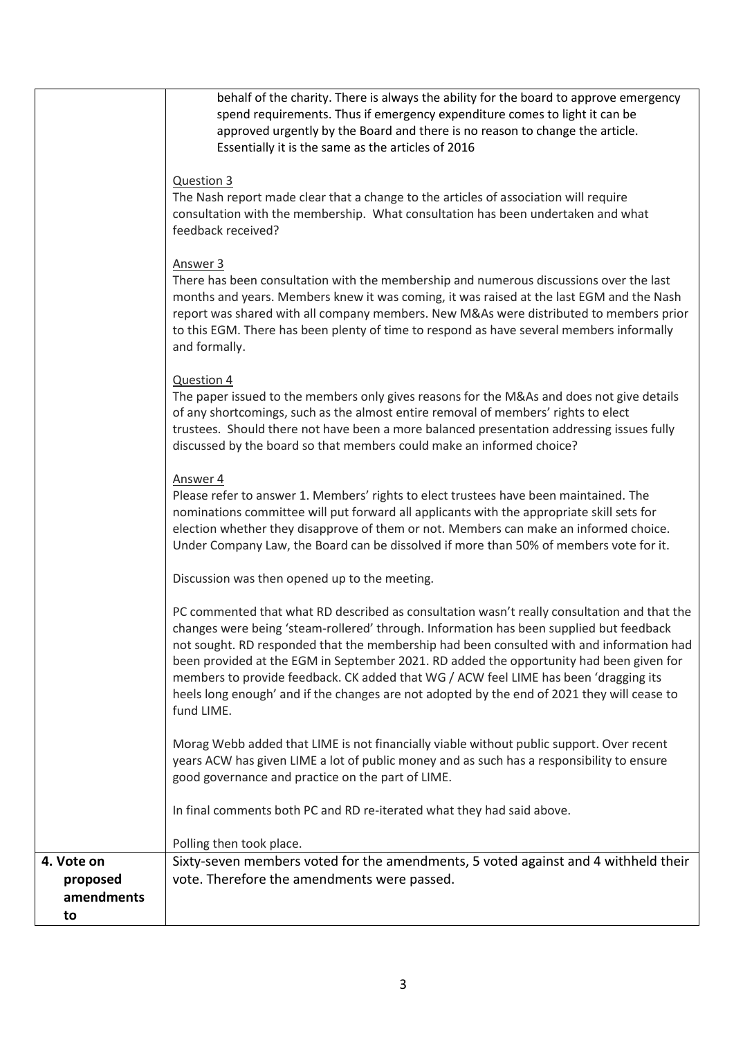| approved urgently by the Board and there is no reason to change the article.<br>Essentially it is the same as the articles of 2016                                                                                                                                                                                                                                                                                                                                                                                                                                                 |  |
|------------------------------------------------------------------------------------------------------------------------------------------------------------------------------------------------------------------------------------------------------------------------------------------------------------------------------------------------------------------------------------------------------------------------------------------------------------------------------------------------------------------------------------------------------------------------------------|--|
| Question 3<br>The Nash report made clear that a change to the articles of association will require<br>consultation with the membership. What consultation has been undertaken and what<br>feedback received?                                                                                                                                                                                                                                                                                                                                                                       |  |
| Answer 3<br>There has been consultation with the membership and numerous discussions over the last<br>months and years. Members knew it was coming, it was raised at the last EGM and the Nash<br>report was shared with all company members. New M&As were distributed to members prior<br>to this EGM. There has been plenty of time to respond as have several members informally<br>and formally.                                                                                                                                                                              |  |
| Question 4<br>The paper issued to the members only gives reasons for the M&As and does not give details<br>of any shortcomings, such as the almost entire removal of members' rights to elect<br>trustees. Should there not have been a more balanced presentation addressing issues fully<br>discussed by the board so that members could make an informed choice?                                                                                                                                                                                                                |  |
| Answer 4<br>Please refer to answer 1. Members' rights to elect trustees have been maintained. The<br>nominations committee will put forward all applicants with the appropriate skill sets for<br>election whether they disapprove of them or not. Members can make an informed choice.<br>Under Company Law, the Board can be dissolved if more than 50% of members vote for it.                                                                                                                                                                                                  |  |
| Discussion was then opened up to the meeting.                                                                                                                                                                                                                                                                                                                                                                                                                                                                                                                                      |  |
| PC commented that what RD described as consultation wasn't really consultation and that the<br>changes were being 'steam-rollered' through. Information has been supplied but feedback<br>not sought. RD responded that the membership had been consulted with and information had<br>been provided at the EGM in September 2021. RD added the opportunity had been given for<br>members to provide feedback. CK added that WG / ACW feel LIME has been 'dragging its<br>heels long enough' and if the changes are not adopted by the end of 2021 they will cease to<br>fund LIME. |  |
| Morag Webb added that LIME is not financially viable without public support. Over recent<br>years ACW has given LIME a lot of public money and as such has a responsibility to ensure<br>good governance and practice on the part of LIME.                                                                                                                                                                                                                                                                                                                                         |  |
| In final comments both PC and RD re-iterated what they had said above.                                                                                                                                                                                                                                                                                                                                                                                                                                                                                                             |  |
| Polling then took place.<br>Sixty-seven members voted for the amendments, 5 voted against and 4 withheld their<br>4. Vote on                                                                                                                                                                                                                                                                                                                                                                                                                                                       |  |
| vote. Therefore the amendments were passed.<br>proposed<br>amendments<br>to                                                                                                                                                                                                                                                                                                                                                                                                                                                                                                        |  |